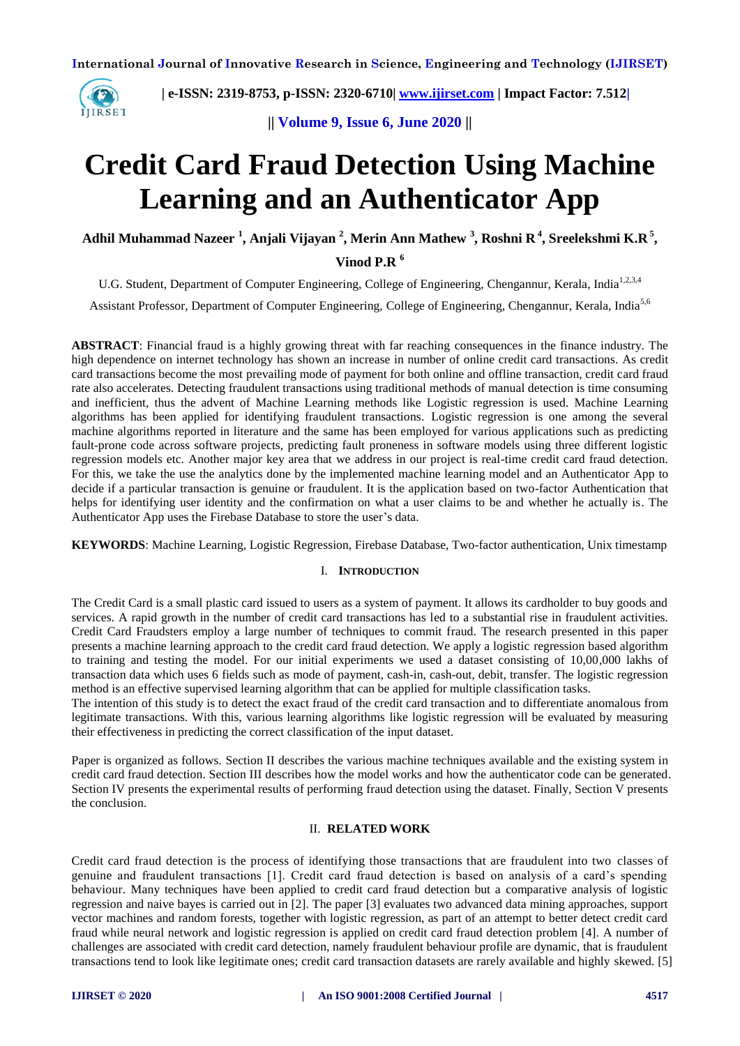

 **| e-ISSN: 2319-8753, p-ISSN: 2320-6710| [www.ijirset.com](http://www.ijirset.com/) | Impact Factor: 7.512|**

**|| Volume 9, Issue 6, June 2020 ||** 

# **Credit Card Fraud Detection Using Machine Learning and an Authenticator App**

**Adhil Muhammad Nazeer <sup>1</sup> , Anjali Vijayan <sup>2</sup> , Merin Ann Mathew <sup>3</sup> , Roshni R <sup>4</sup> , Sreelekshmi K.R <sup>5</sup> ,**

# **Vinod P.R <sup>6</sup>**

U.G. Student, Department of Computer Engineering, College of Engineering, Chengannur, Kerala, India<sup>1,2,3,4</sup>

Assistant Professor, Department of Computer Engineering, College of Engineering, Chengannur, Kerala, India<sup>5,6</sup>

**ABSTRACT**: Financial fraud is a highly growing threat with far reaching consequences in the finance industry. The high dependence on internet technology has shown an increase in number of online credit card transactions. As credit card transactions become the most prevailing mode of payment for both online and offline transaction, credit card fraud rate also accelerates. Detecting fraudulent transactions using traditional methods of manual detection is time consuming and inefficient, thus the advent of Machine Learning methods like Logistic regression is used. Machine Learning algorithms has been applied for identifying fraudulent transactions. Logistic regression is one among the several machine algorithms reported in literature and the same has been employed for various applications such as predicting fault-prone code across software projects, predicting fault proneness in software models using three different logistic regression models etc. Another major key area that we address in our project is real-time credit card fraud detection. For this, we take the use the analytics done by the implemented machine learning model and an Authenticator App to decide if a particular transaction is genuine or fraudulent. It is the application based on two-factor Authentication that helps for identifying user identity and the confirmation on what a user claims to be and whether he actually is. The Authenticator App uses the Firebase Database to store the user's data.

**KEYWORDS**: Machine Learning, Logistic Regression, Firebase Database, Two-factor authentication, Unix timestamp

#### I. **INTRODUCTION**

The Credit Card is a small plastic card issued to users as a system of payment. It allows its cardholder to buy goods and services. A rapid growth in the number of credit card transactions has led to a substantial rise in fraudulent activities. Credit Card Fraudsters employ a large number of techniques to commit fraud. The research presented in this paper presents a machine learning approach to the credit card fraud detection. We apply a logistic regression based algorithm to training and testing the model. For our initial experiments we used a dataset consisting of 10,00,000 lakhs of transaction data which uses 6 fields such as mode of payment, cash-in, cash-out, debit, transfer. The logistic regression method is an effective supervised learning algorithm that can be applied for multiple classification tasks.

The intention of this study is to detect the exact fraud of the credit card transaction and to differentiate anomalous from legitimate transactions. With this, various learning algorithms like logistic regression will be evaluated by measuring their effectiveness in predicting the correct classification of the input dataset.

Paper is organized as follows. Section II describes the various machine techniques available and the existing system in credit card fraud detection. Section III describes how the model works and how the authenticator code can be generated. Section IV presents the experimental results of performing fraud detection using the dataset. Finally, Section V presents the conclusion.

## II. **RELATED WORK**

Credit card fraud detection is the process of identifying those transactions that are fraudulent into two classes of genuine and fraudulent transactions [1]. Credit card fraud detection is based on analysis of a card's spending behaviour. Many techniques have been applied to credit card fraud detection but a comparative analysis of logistic regression and naive bayes is carried out in [2]. The paper [3] evaluates two advanced data mining approaches, support vector machines and random forests, together with logistic regression, as part of an attempt to better detect credit card fraud while neural network and logistic regression is applied on credit card fraud detection problem [4]. A number of challenges are associated with credit card detection, namely fraudulent behaviour profile are dynamic, that is fraudulent transactions tend to look like legitimate ones; credit card transaction datasets are rarely available and highly skewed. [5]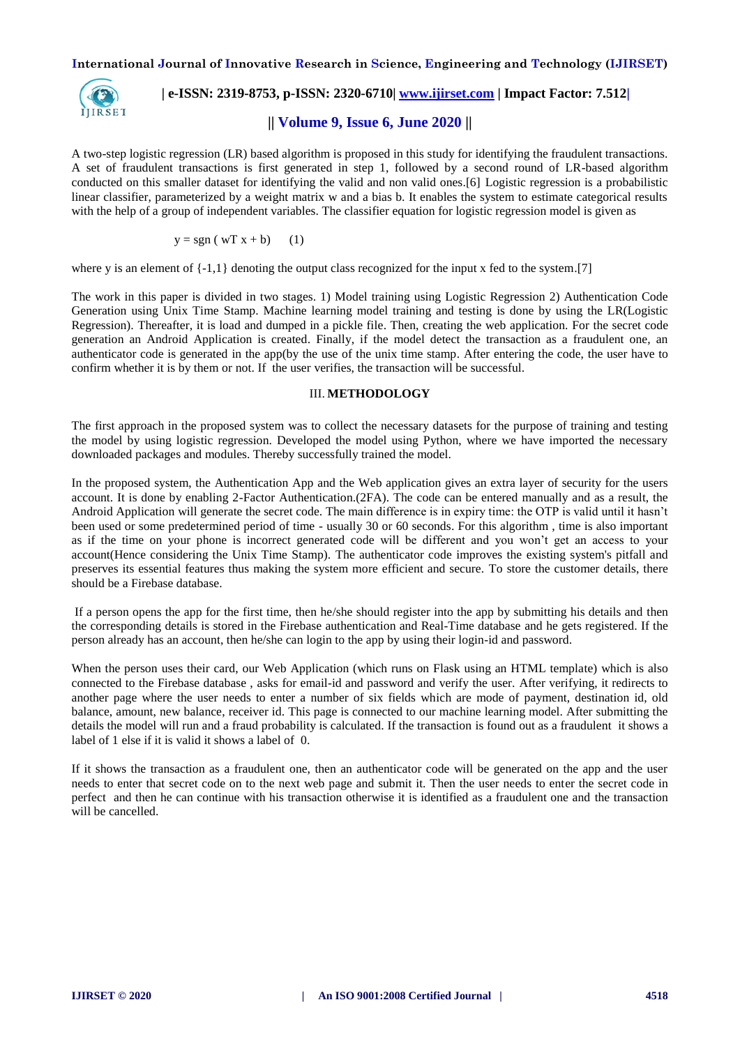**International Journal of Innovative Research in Science, Engineering and Technology (IJIRSET)**



 **| e-ISSN: 2319-8753, p-ISSN: 2320-6710| [www.ijirset.com](http://www.ijirset.com/) | Impact Factor: 7.512|**

# **|| Volume 9, Issue 6, June 2020 ||**

A two-step logistic regression (LR) based algorithm is proposed in this study for identifying the fraudulent transactions. A set of fraudulent transactions is first generated in step 1, followed by a second round of LR-based algorithm conducted on this smaller dataset for identifying the valid and non valid ones.[6] Logistic regression is a probabilistic linear classifier, parameterized by a weight matrix w and a bias b. It enables the system to estimate categorical results with the help of a group of independent variables. The classifier equation for logistic regression model is given as

$$
y = sgn (wT x + b) \qquad (1)
$$

where y is an element of  $\{-1,1\}$  denoting the output class recognized for the input x fed to the system.[7]

The work in this paper is divided in two stages. 1) Model training using Logistic Regression 2) Authentication Code Generation using Unix Time Stamp. Machine learning model training and testing is done by using the LR(Logistic Regression). Thereafter, it is load and dumped in a pickle file. Then, creating the web application. For the secret code generation an Android Application is created. Finally, if the model detect the transaction as a fraudulent one, an authenticator code is generated in the app(by the use of the unix time stamp. After entering the code, the user have to confirm whether it is by them or not. If the user verifies, the transaction will be successful.

#### III. **METHODOLOGY**

The first approach in the proposed system was to collect the necessary datasets for the purpose of training and testing the model by using logistic regression. Developed the model using Python, where we have imported the necessary downloaded packages and modules. Thereby successfully trained the model.

In the proposed system, the Authentication App and the Web application gives an extra layer of security for the users account. It is done by enabling 2-Factor Authentication.(2FA). The code can be entered manually and as a result, the Android Application will generate the secret code. The main difference is in expiry time: the OTP is valid until it hasn't been used or some predetermined period of time - usually 30 or 60 seconds. For this algorithm , time is also important as if the time on your phone is incorrect generated code will be different and you won't get an access to your account(Hence considering the Unix Time Stamp). The authenticator code improves the existing system's pitfall and preserves its essential features thus making the system more efficient and secure. To store the customer details, there should be a Firebase database.

If a person opens the app for the first time, then he/she should register into the app by submitting his details and then the corresponding details is stored in the Firebase authentication and Real-Time database and he gets registered. If the person already has an account, then he/she can login to the app by using their login-id and password.

When the person uses their card, our Web Application (which runs on Flask using an HTML template) which is also connected to the Firebase database , asks for email-id and password and verify the user. After verifying, it redirects to another page where the user needs to enter a number of six fields which are mode of payment, destination id, old balance, amount, new balance, receiver id. This page is connected to our machine learning model. After submitting the details the model will run and a fraud probability is calculated. If the transaction is found out as a fraudulent it shows a label of 1 else if it is valid it shows a label of 0.

If it shows the transaction as a fraudulent one, then an authenticator code will be generated on the app and the user needs to enter that secret code on to the next web page and submit it. Then the user needs to enter the secret code in perfect and then he can continue with his transaction otherwise it is identified as a fraudulent one and the transaction will be cancelled.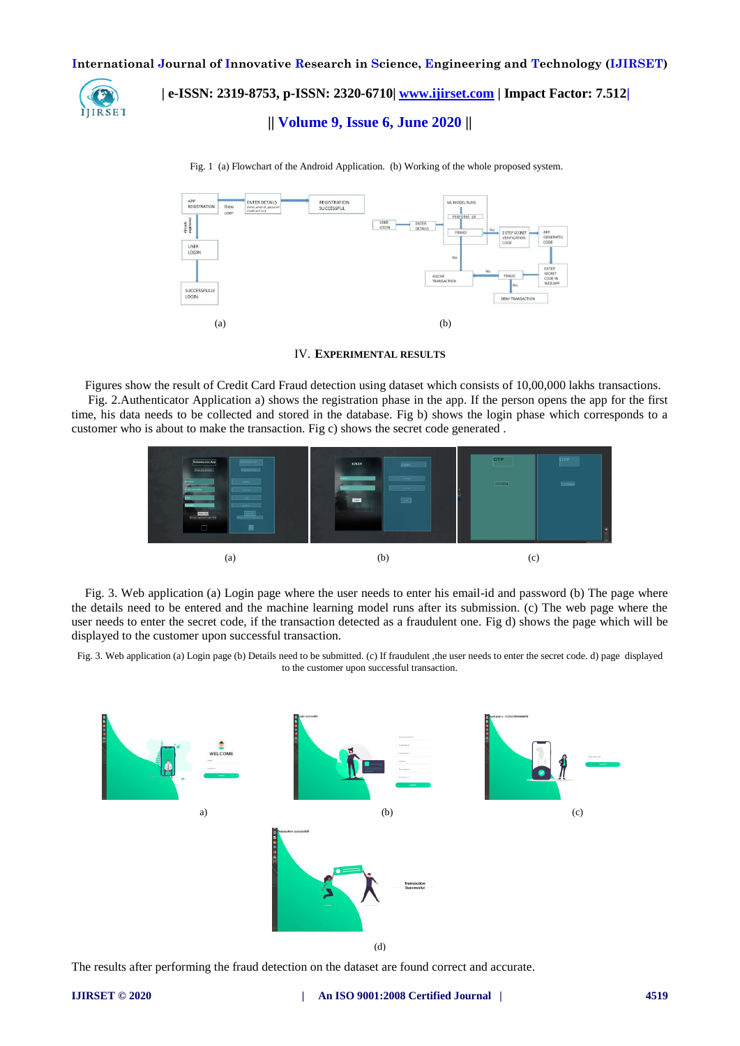**International Journal of Innovative Research in Science, Engineering and Technology (IJIRSET)**



 **| e-ISSN: 2319-8753, p-ISSN: 2320-6710| [www.ijirset.com](http://www.ijirset.com/) | Impact Factor: 7.512|**

## **|| Volume 9, Issue 6, June 2020 ||**



Fig. 1 (a) Flowchart of the Android Application. (b) Working of the whole proposed system.

#### IV. **EXPERIMENTAL RESULTS**

Figures show the result of Credit Card Fraud detection using dataset which consists of 10,00,000 lakhs transactions.

Fig. 2.Authenticator Application a) shows the registration phase in the app. If the person opens the app for the first time, his data needs to be collected and stored in the database. Fig b) shows the login phase which corresponds to a customer who is about to make the transaction. Fig c) shows the secret code generated .



Fig. 3. Web application (a) Login page where the user needs to enter his email-id and password (b) The page where the details need to be entered and the machine learning model runs after its submission. (c) The web page where the user needs to enter the secret code, if the transaction detected as a fraudulent one. Fig d) shows the page which will be displayed to the customer upon successful transaction.

Fig. 3. Web application (a) Login page (b) Details need to be submitted. (c) If fraudulent ,the user needs to enter the secret code. d) page displayed to the customer upon successful transaction.



(d)

The results after performing the fraud detection on the dataset are found correct and accurate.